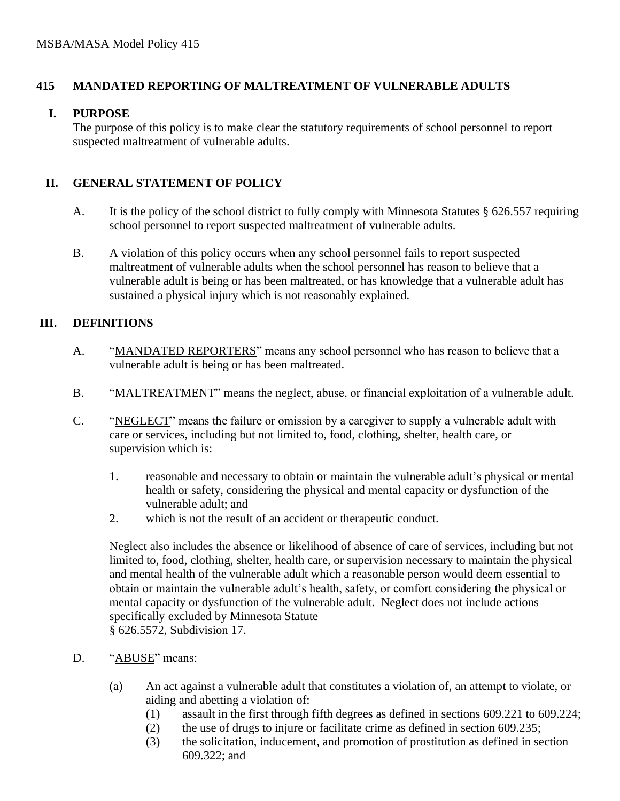#### **415 MANDATED REPORTING OF MALTREATMENT OF VULNERABLE ADULTS**

#### **I. PURPOSE**

The purpose of this policy is to make clear the statutory requirements of school personnel to report suspected maltreatment of vulnerable adults.

## **II. GENERAL STATEMENT OF POLICY**

- A. It is the policy of the school district to fully comply with Minnesota Statutes § 626.557 requiring school personnel to report suspected maltreatment of vulnerable adults.
- B. A violation of this policy occurs when any school personnel fails to report suspected maltreatment of vulnerable adults when the school personnel has reason to believe that a vulnerable adult is being or has been maltreated, or has knowledge that a vulnerable adult has sustained a physical injury which is not reasonably explained.

### **III. DEFINITIONS**

- A. "MANDATED REPORTERS" means any school personnel who has reason to believe that a vulnerable adult is being or has been maltreated.
- B. "MALTREATMENT" means the neglect, abuse, or financial exploitation of a vulnerable adult.
- C. "NEGLECT" means the failure or omission by a caregiver to supply a vulnerable adult with care or services, including but not limited to, food, clothing, shelter, health care, or supervision which is:
	- 1. reasonable and necessary to obtain or maintain the vulnerable adult's physical or mental health or safety, considering the physical and mental capacity or dysfunction of the vulnerable adult; and
	- 2. which is not the result of an accident or therapeutic conduct.

Neglect also includes the absence or likelihood of absence of care of services, including but not limited to, food, clothing, shelter, health care, or supervision necessary to maintain the physical and mental health of the vulnerable adult which a reasonable person would deem essential to obtain or maintain the vulnerable adult's health, safety, or comfort considering the physical or mental capacity or dysfunction of the vulnerable adult. Neglect does not include actions specifically excluded by Minnesota Statute § 626.5572, Subdivision 17.

- D. "ABUSE" means:
	- (a) An act against a vulnerable adult that constitutes a violation of, an attempt to violate, or aiding and abetting a violation of:
		- (1) assault in the first through fifth degrees as defined in sections 609.221 to 609.224;
		- (2) the use of drugs to injure or facilitate crime as defined in section 609.235;
		- (3) the solicitation, inducement, and promotion of prostitution as defined in section 609.322; and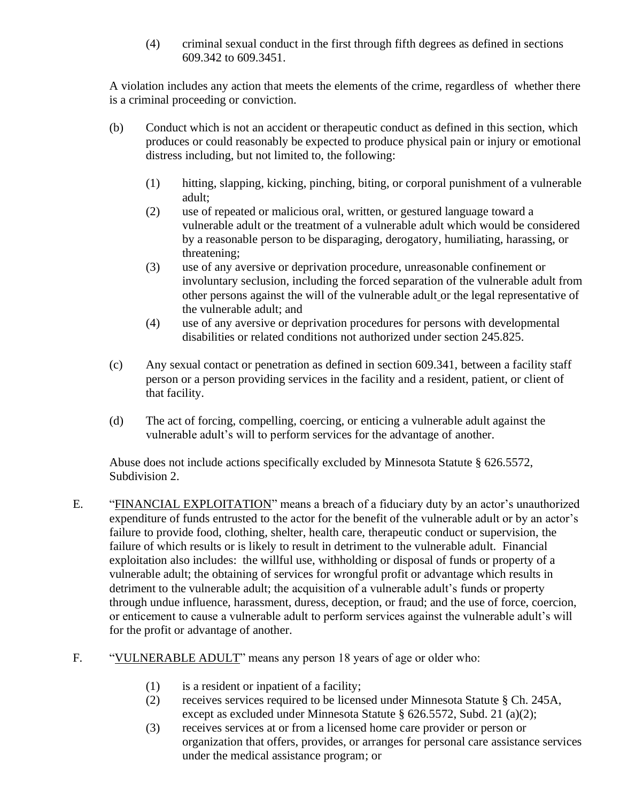(4) criminal sexual conduct in the first through fifth degrees as defined in sections 609.342 to 609.3451.

A violation includes any action that meets the elements of the crime, regardless of whether there is a criminal proceeding or conviction.

- (b) Conduct which is not an accident or therapeutic conduct as defined in this section, which produces or could reasonably be expected to produce physical pain or injury or emotional distress including, but not limited to, the following:
	- (1) hitting, slapping, kicking, pinching, biting, or corporal punishment of a vulnerable adult;
	- (2) use of repeated or malicious oral, written, or gestured language toward a vulnerable adult or the treatment of a vulnerable adult which would be considered by a reasonable person to be disparaging, derogatory, humiliating, harassing, or threatening;
	- (3) use of any aversive or deprivation procedure, unreasonable confinement or involuntary seclusion, including the forced separation of the vulnerable adult from other persons against the will of the vulnerable adult or the legal representative of the vulnerable adult; and
	- (4) use of any aversive or deprivation procedures for persons with developmental disabilities or related conditions not authorized under section 245.825.
- (c) Any sexual contact or penetration as defined in section 609.341, between a facility staff person or a person providing services in the facility and a resident, patient, or client of that facility.
- (d) The act of forcing, compelling, coercing, or enticing a vulnerable adult against the vulnerable adult's will to perform services for the advantage of another.

Abuse does not include actions specifically excluded by Minnesota Statute § 626.5572, Subdivision 2.

- E. "FINANCIAL EXPLOITATION" means a breach of a fiduciary duty by an actor's unauthorized expenditure of funds entrusted to the actor for the benefit of the vulnerable adult or by an actor's failure to provide food, clothing, shelter, health care, therapeutic conduct or supervision, the failure of which results or is likely to result in detriment to the vulnerable adult. Financial exploitation also includes: the willful use, withholding or disposal of funds or property of a vulnerable adult; the obtaining of services for wrongful profit or advantage which results in detriment to the vulnerable adult; the acquisition of a vulnerable adult's funds or property through undue influence, harassment, duress, deception, or fraud; and the use of force, coercion, or enticement to cause a vulnerable adult to perform services against the vulnerable adult's will for the profit or advantage of another.
- F. "VULNERABLE ADULT" means any person 18 years of age or older who:
	- (1) is a resident or inpatient of a facility;
	- (2) receives services required to be licensed under Minnesota Statute § Ch. 245A, except as excluded under Minnesota Statute § 626.5572, Subd. 21 (a)(2);
	- (3) receives services at or from a licensed home care provider or person or organization that offers, provides, or arranges for personal care assistance services under the medical assistance program; or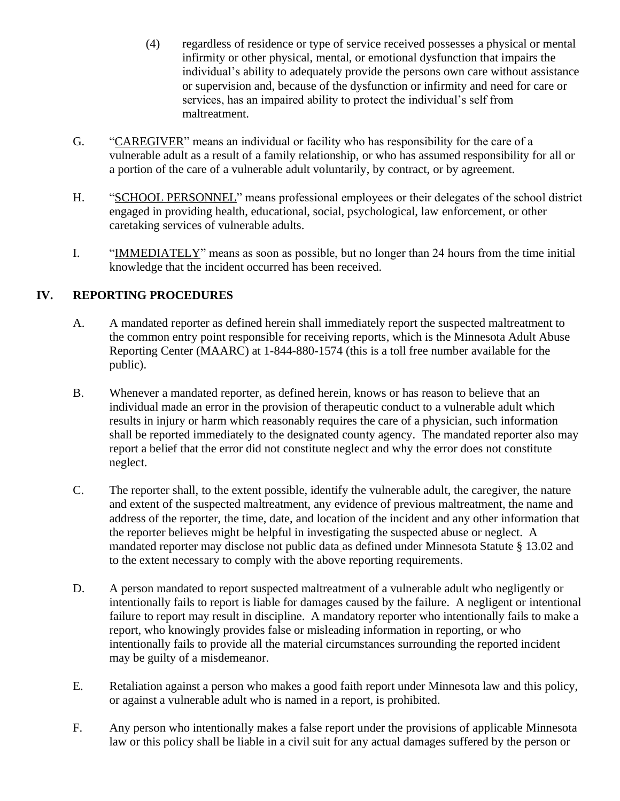- (4) regardless of residence or type of service received possesses a physical or mental infirmity or other physical, mental, or emotional dysfunction that impairs the individual's ability to adequately provide the persons own care without assistance or supervision and, because of the dysfunction or infirmity and need for care or services, has an impaired ability to protect the individual's self from maltreatment.
- G. "CAREGIVER" means an individual or facility who has responsibility for the care of a vulnerable adult as a result of a family relationship, or who has assumed responsibility for all or a portion of the care of a vulnerable adult voluntarily, by contract, or by agreement.
- H. "SCHOOL PERSONNEL" means professional employees or their delegates of the school district engaged in providing health, educational, social, psychological, law enforcement, or other caretaking services of vulnerable adults.
- I. "IMMEDIATELY" means as soon as possible, but no longer than 24 hours from the time initial knowledge that the incident occurred has been received.

# **IV. REPORTING PROCEDURES**

- A. A mandated reporter as defined herein shall immediately report the suspected maltreatment to the common entry point responsible for receiving reports, which is the Minnesota Adult Abuse Reporting Center (MAARC) at 1-844-880-1574 (this is a toll free number available for the public).
- B. Whenever a mandated reporter, as defined herein, knows or has reason to believe that an individual made an error in the provision of therapeutic conduct to a vulnerable adult which results in injury or harm which reasonably requires the care of a physician, such information shall be reported immediately to the designated county agency. The mandated reporter also may report a belief that the error did not constitute neglect and why the error does not constitute neglect.
- C. The reporter shall, to the extent possible, identify the vulnerable adult, the caregiver, the nature and extent of the suspected maltreatment, any evidence of previous maltreatment, the name and address of the reporter, the time, date, and location of the incident and any other information that the reporter believes might be helpful in investigating the suspected abuse or neglect. A mandated reporter may disclose not public data as defined under Minnesota Statute § 13.02 and to the extent necessary to comply with the above reporting requirements.
- D. A person mandated to report suspected maltreatment of a vulnerable adult who negligently or intentionally fails to report is liable for damages caused by the failure. A negligent or intentional failure to report may result in discipline. A mandatory reporter who intentionally fails to make a report, who knowingly provides false or misleading information in reporting, or who intentionally fails to provide all the material circumstances surrounding the reported incident may be guilty of a misdemeanor.
- E. Retaliation against a person who makes a good faith report under Minnesota law and this policy, or against a vulnerable adult who is named in a report, is prohibited.
- F. Any person who intentionally makes a false report under the provisions of applicable Minnesota law or this policy shall be liable in a civil suit for any actual damages suffered by the person or